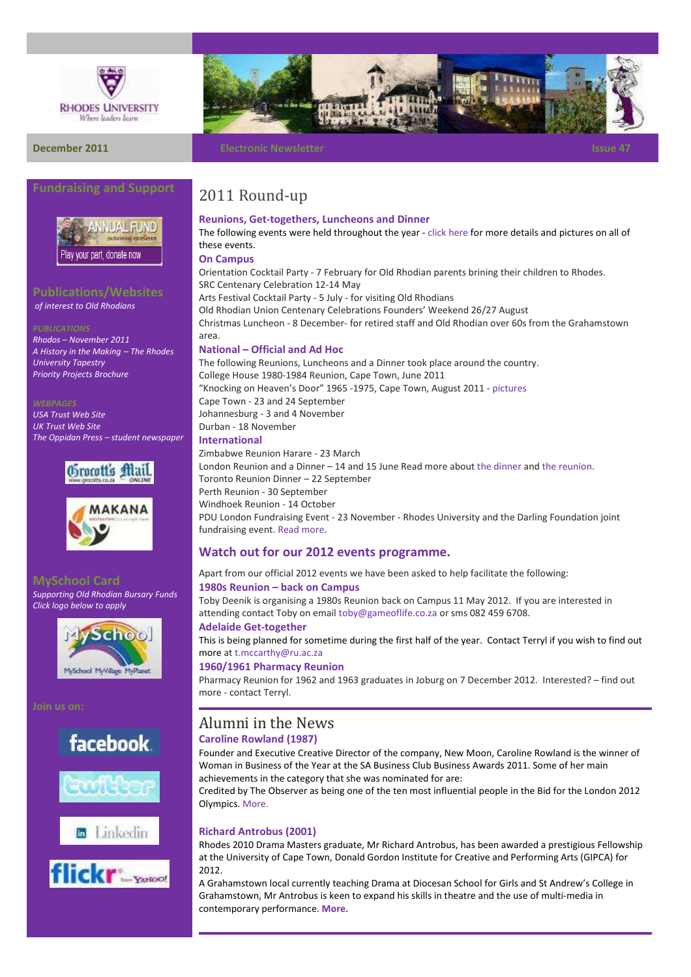

#### Fundraising and Support



#### Publications/Websites

of interest to Old Rhodians

#### PUBLICATIONS

Rhodos – November 2011 A History in the Making – The Rhodes University Tapestry Priority Projects Brochure

#### **WEBPAGES**

USA Trust Web Site UK Trust Web Site The Oppidan Press – student newspaper





#### MySchool Card

Supporting Old Rhodian Bursary Funds Click logo below to apply



Join us on:







### **December 2011 Electronic Newsletter Issue 47 (1996) Electronic Newsletter** Issue 47

# 2011 Round-up

#### Reunions, Get-togethers, Luncheons and Dinner

The following events were held throughout the year - click here for more details and pictures on all of these events.

#### On Campus

Orientation Cocktail Party - 7 February for Old Rhodian parents brining their children to Rhodes. SRC Centenary Celebration 12-14 May Arts Festival Cocktail Party - 5 July - for visiting Old Rhodians Old Rhodian Union Centenary Celebrations Founders' Weekend 26/27 August Christmas Luncheon - 8 December- for retired staff and Old Rhodian over 60s from the Grahamstown area. National – Official and Ad Hoc

The following Reunions, Luncheons and a Dinner took place around the country. College House 1980-1984 Reunion, Cape Town, June 2011 "Knocking on Heaven's Door" 1965 -1975, Cape Town, August 2011 - pictures Cape Town - 23 and 24 September Johannesburg - 3 and 4 November Durban - 18 November International Zimbabwe Reunion Harare - 23 March

London Reunion and a Dinner – 14 and 15 June Read more about the dinner and the reunion. Toronto Reunion Dinner – 22 September Perth Reunion - 30 September Windhoek Reunion - 14 October PDU London Fundraising Event - 23 November - Rhodes University and the Darling Foundation joint fundraising event. Read more.

### Watch out for our 2012 events programme.

Apart from our official 2012 events we have been asked to help facilitate the following:

#### 1980s Reunion – back on Campus

Toby Deenik is organising a 1980s Reunion back on Campus 11 May 2012. If you are interested in attending contact Toby on email toby@gameoflife.co.za or sms 082 459 6708.

#### Adelaide Get-together

This is being planned for sometime during the first half of the year. Contact Terryl if you wish to find out more at t.mccarthy@ru.ac.za

### 1960/1961 Pharmacy Reunion

Pharmacy Reunion for 1962 and 1963 graduates in Joburg on 7 December 2012. Interested? – find out more - contact Terryl.

# Alumni in the News

### Caroline Rowland (1987)

Founder and Executive Creative Director of the company, New Moon, Caroline Rowland is the winner of Woman in Business of the Year at the SA Business Club Business Awards 2011. Some of her main achievements in the category that she was nominated for are:

Credited by The Observer as being one of the ten most influential people in the Bid for the London 2012 Olympics. More.

#### Richard Antrobus (2001)

Rhodes 2010 Drama Masters graduate, Mr Richard Antrobus, has been awarded a prestigious Fellowship at the University of Cape Town, Donald Gordon Institute for Creative and Performing Arts (GIPCA) for 2012.

A Grahamstown local currently teaching Drama at Diocesan School for Girls and St Andrew's College in Grahamstown, Mr Antrobus is keen to expand his skills in theatre and the use of multi-media in contemporary performance. More.